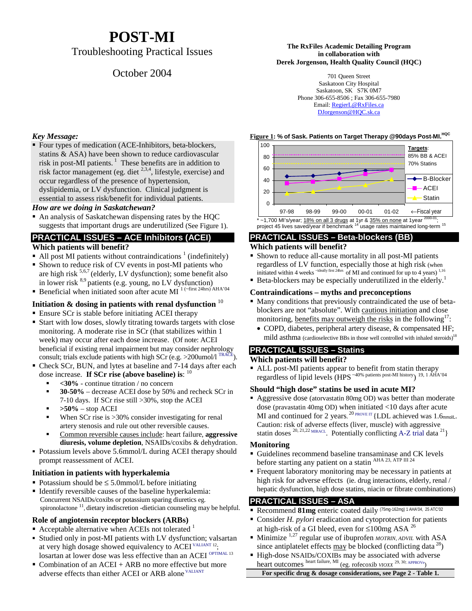# **POST-MI**

# Troubleshooting Practical Issues

# October 2004

#### **The RxFiles Academic Detailing Program in collaboration with Derek Jorgenson, Health Quality Council (HQC)**

701 Queen Street Saskatoon City Hospital Saskatoon, SK S7K 0M7 Phone 306-655-8506 ; Fax 306-655-7980 Email: RegierL@RxFiles.ca DJorgenson@HQC.sk.ca

#### **Figure 1:** % of Sask. Patients on Target Therapy @90days Post-MI.<sup>HQC</sup>



#### **PRACTICAL ISSUES – Beta-blockers (BB)**

### **Which patients will benefit?**

- Shown to reduce all-cause mortality in all post-MI patients regardless of LV function, especially those at high risk (when initiated within 4 weeks  $\frac{1}{10}$  first 24hrs of MI and continued for up to 4 years)  $^{1,16}$
- initiated within 4 weeks  $\frac{1}{2}$  and  $\frac{1}{2}$  of MI and continued for up to 4 years)  $\frac{1}{10}$ <br>• Beta-blockers may be especially underutilized in the elderly.<sup>1</sup>

### **Contraindications – myths and preconceptions**

- Many conditions that previously contraindicated the use of betablockers are not "absolute". With cautious initiation and close monitoring, benefits may outweigh the risks in the following<sup>17</sup>:
	- COPD, diabetes, peripheral artery disease, & compensated HF; mild asthma (cardioselective BBs in those well controlled with inhaled steroids)<sup>18</sup>

#### **PRACTICAL ISSUES – Statins**

#### **Which patients will benefit?**

 ALL post-MI patients appear to benefit from statin therapy regardless of lipid levels (HPS  $40\%$  patients post-MI history) 19, 1 AHA'04

### **Should "high dose" statins be used in acute MI?**

 Aggressive dose (atorvastatin 80mg OD) was better than moderate dose (pravastatin 40mg OD) when initiated <10 days after acute MI and continued for 2 years. <sup>20</sup> PROVE IT {LDL achieved was 1.6mmol/L. Caution: risk of adverse effects (liver, muscle) with aggressive statin doses <sup>20, 21, 22</sup> MIRACL. Potentially conflicting A-Z trial data <sup>21</sup>}

### **Monitoring**

- Guidelines recommend baseline transaminase and CK levels before starting any patient on a statin <sup>AHA 23, ATP III 24</sup>
- $\blacksquare$  Frequent laboratory monitoring may be necessary in patients at high risk for adverse effects (ie. drug interactions, elderly, renal / hepatic dysfunction, high dose statins, niacin or fibrate combinations)

# **PRACTICAL ISSUES – ASA**

- Recommend **81mg** enteric coated daily (75mg-162mg) 1 AHA'04, 25 ATC'02
- $\blacksquare$  Consider *H. pylori* eradication and cytoprotection for patients at high-risk of a GI bleed, even for  $\leq 100$ mg ASA <sup>26</sup>
- Minimize 1,27 regular use of ibuprofen *MOTRIN*, *ADVIL* with ASA since antiplatelet effects  $\frac{\text{max}}{\text{log} \times \text{log} \times \text{log} \times \text{log} \times \text{log} \times \text{log} \times \text{log} \times \text{log} \times \text{log} \times \text{log} \times \text{log} \times \text{log} \times \text{log} \times \text{log} \times \text{log} \times \text{log} \times \text{log} \times \text{log} \times \text{log} \times \text{log} \times \text{log} \times \text{log} \times \text{log} \times \text{log} \times \text{log} \times \text{log} \times \text{log$
- High-dose NSAIDs/COXIBs may be associated with adverse heart outcomes heart failure, MI (eg. rofecoxib *VIOXX* 29, 30; APPROVe)

#### **For specific drug & dosage considerations, see Page 2 - Table 1.**

### *Key Message:*

 Four types of medication (ACE-Inhibitors, beta-blockers, statins & ASA) have been shown to reduce cardiovascular risk in post-MI patients.<sup>1</sup> These benefits are in addition to risk factor management (eg. diet  $2,3,4$ , lifestyle, exercise) and occur regardless of the presence of hypertension, dyslipidemia, or LV dysfunction. Clinical judgment is essential to assess risk/benefit for individual patients.

### *How are we doing in Saskatchewan?*

• An analysis of Saskatchewan dispensing rates by the HQC suggests that important drugs are underutilized (See Figure 1).

### **PRACTICAL ISSUES – ACE Inhibitors (ACEI)**

### **Which patients will benefit?**

- $\blacksquare$  All post MI patients without contraindications  $\frac{1}{1}$  (indefinitely)
- Shown to reduce risk of CV events in post-MI patients who are high risk  $5,6,7$  (elderly, LV dysfunction); some benefit also in lower risk <sup>8,9</sup> patients (e.g. young, no LV dysfunction)<br> **Beneficial when initiated soon after acute MI**  $^{1}$  ( $^{-($ first 24hrs) AHA'04
- 

# **Initiation & dosing in patients with renal dysfunction** <sup>10</sup>

Ensure SCr is stable before initiating ACEI therapy

- Start with low doses, slowly titrating towards targets with close monitoring. A moderate rise in SCr (that stabilizes within 1 week) may occur after each dose increase. (Of note: ACEI beneficial if existing renal impairment but may consider nephrology consult; trials exclude patients with high SCr (e.g. >200umol/l  $^{TRACE}$ ).
- Check SCr, BUN, and lytes at baseline and 7-14 days after each dose increase. **If SCr rise (above baseline) is**: <sup>10</sup>
	- **<30%** continue titration / no concern
	- $\blacksquare$  **30-50%** – decrease ACEI dose by 50% and recheck SCr in 7-10 days. If SCr rise still >30%, stop the ACEI
	- **>50%** stop ACEI I
	- When SCr rise is > 30% consider investigating for renal artery stenosis and rule out other reversible causes.
	- Common reversible causes include: heart failure, **aggressive diuresis, volume depletion**, NSAIDs/coxibs & dehydration.
- **aturesis, volume depletion**, NSAIDs/coxips & denyaration.<br>Potassium levels above 5.6mmol/L during ACEI therapy should prompt reassessment of ACEI.

# **Initiation in patients with hyperkalemia**

- Potassium should be ≤ 5.0mmol/L before initiating
- Identify reversible causes of the baseline hyperkalemia: Concurrent NSAIDs/coxibs or potassium sparing diuretics eg. spironolactone <sup>11</sup>, dietary indiscretion -dietician counseling may be helpful.

### **Role of angiotensin receptor blockers (ARBs)**

- Acceptable alternative when ACEIs not tolerated  $1$
- Studied only in post-MI patients with LV dysfunction; valsartan at very high dosage showed equivalency to  $\text{ACEI}^{\text{VALIANT 12}}$ ; losartan at lower dose was less effective than an ACEI <sup>OPTIMAL 13</sup>
- Combination of an ACEI + ARB no more effective but more adverse effects than either ACEI or ARB alone VALIANT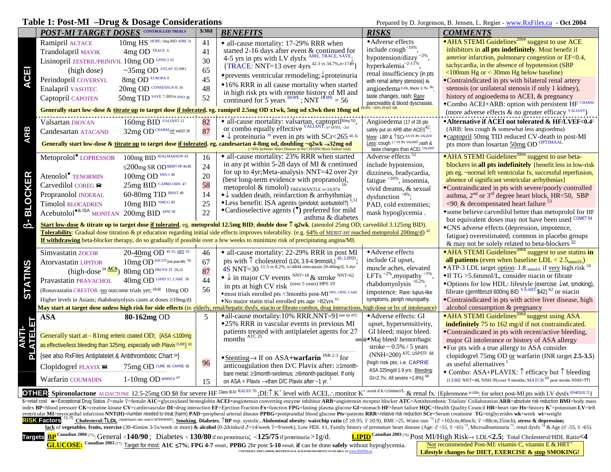#### **Table 1: Post-MI –Drug & Dosage Considerations** Prepared by D. Jorgenson, B. Jensen, L. Regier - www.RxFiles.ca - Oct 2004

|                | <b>POST-MI TARGET DOSES</b> CONTROLLED TRIALS                                                                                                                                                                                                       |                                                  | \$/30d | <b>BENEFITS</b>                                                                                                                                                            | <b>RISKS</b>                                                                        | <b>COMMENTS</b>                                                                                                     |  |
|----------------|-----------------------------------------------------------------------------------------------------------------------------------------------------------------------------------------------------------------------------------------------------|--------------------------------------------------|--------|----------------------------------------------------------------------------------------------------------------------------------------------------------------------------|-------------------------------------------------------------------------------------|---------------------------------------------------------------------------------------------------------------------|--|
|                | Ramipril ALTACE                                                                                                                                                                                                                                     | $10mg$ $HS$ $HSS$ $HOPE$ ; $5mg$ $BID$ $AIRE$ 31 | 41     | • all-cause mortality: 17-29% RRR when                                                                                                                                     | ◆ Adverse effects                                                                   | • AHA STEMI Guidelines <sup>2004</sup> suggest to use ACE                                                           |  |
|                | Trandolapril MAVIK                                                                                                                                                                                                                                  | 4mg OD TRACE 6                                   | 41     | started 2-16 days after event & continued for                                                                                                                              | include cough<10%.                                                                  | inhibitors in all pts indefinitely. Most benefit if                                                                 |  |
|                | Lisinopril ZESTRIL/PRINIVIL 10mg OD GISSI-3 32                                                                                                                                                                                                      |                                                  | 30     | 4-5 yrs in pts with LV dysfx AIRE, TRACE, SAVE;                                                                                                                            | hypotension/dizzy $2\%$                                                             | anterior infarction, pulmonary congestion or EF<0.4,<br>tachycardia, in the absence of hypotension (SBP             |  |
| Ξ              | (high dose)                                                                                                                                                                                                                                         | $\sim$ 35mg OD ATLAS 33 (HF)                     | 65     | {TRACE: NNT=13 over 4yrs <sup>42.3</sup> vs 34.7%, n=1749}                                                                                                                 | hyperkalemia <sup>-2-11%</sup><br>renal insufficiency (in pts                       | $\leq 100$ mm Hg or $\leq 30$ mm Hg below baseline)                                                                 |  |
| <b>U</b>       | Perindopril COVERSYL                                                                                                                                                                                                                                | 8mg OD EUROPA 9                                  | 45     | $\bullet$ prevents ventricular remodeling; proteinuria                                                                                                                     | with renal artery stenosis) $\varepsilon$                                           | *Contraindicated in pts with bilateral renal artery                                                                 |  |
|                | Enalapril VASOTEC                                                                                                                                                                                                                                   | 20mg OD CONSENSUS-II 34                          | 48     | •16% RRR in all cause mortality when started                                                                                                                               | angioedema <sup>0.4%</sup> , Blacks 0.7% 36.                                        | stenosis (or unilateral stenosis if only 1 kidney),                                                                 |  |
|                | Captopril CAPOTEN                                                                                                                                                                                                                                   | 50mg TID SAVE 7, BID in ISIS4 35                 | 52     | in high risk pts with remote history of MI and<br>continued for 5 years $^{HOPE}$ ; NNT $^{HOPE}$ = 56                                                                     | taste changes, rash; Rare:                                                          | history of angioedema to ACEI, & pregnancy                                                                          |  |
|                |                                                                                                                                                                                                                                                     |                                                  |        | Generally start low-dose & titrate up to target dose if tolerated. eg. ramipril 2.5mg OD x1wk, 5mg od x3wk then 10mg od                                                    | pancreatitis & blood dyscrasias.<br>DPE > 50% POST MI                               | *Combo ACEI+ARB: option with persistent HF CHARM                                                                    |  |
|                |                                                                                                                                                                                                                                                     |                                                  |        |                                                                                                                                                                            |                                                                                     | (more adverse effects & no greater efficacy VALIANT)                                                                |  |
|                | Valsartan DIOVAN                                                                                                                                                                                                                                    | 160mg BID VALIANT 12                             | 82     | • all-cause mortality: valsartan, captopril <sup>50mg TiD</sup> , or combo equally effective $\frac{VALIANT, n=14703, -2yr}{VALIANT, n=14703, -2yr}$                       | Angioedema (17 of 26 pts                                                            | *Alternative if ACEI not tolerated & HF/LVEF<0.41                                                                   |  |
| <b>ARB</b>     | Candesartan ATACAND                                                                                                                                                                                                                                 | 32mg OD <sup>CHARM</sup> (HE trial)37,38         | 87     | $\bullet \downarrow$ proteinuria <sup>39</sup> even in pts with SCr<265 <sup>40,41</sup>                                                                                   | safely put on ARB after ACEI) <sup>42</sup> ;<br>More: UBP & TSCr 4.9 VS 3% VALIANT | (ARB: less cough & somewhat less angioedma)<br>• captopril 50mg TID reduced CV-death in post-MI                     |  |
|                |                                                                                                                                                                                                                                                     |                                                  |        | Generally start low-dose & titrate up to target dose if tolerated. eg. candesartan 4-8mg od, doubling ~q2wk →32mg od                                                       | Less: cough 1.7 VS 5% VALIANT, rash &                                               | pts more than losartan 50mg OD OPTIMAAL                                                                             |  |
|                |                                                                                                                                                                                                                                                     |                                                  |        | (>50% Ischemic Heart Disease in the CHARM Heart Failure trial)                                                                                                             | taste changes than ACEI. VALIANT<br>Adverse effects <sup>52</sup>                   | • AHA STEMI Guidelines <sup>2004</sup> suggest to use beta-                                                         |  |
|                | Metoprolol <sup>*</sup> LOPRESSOR                                                                                                                                                                                                                   | 100mg BID HJALMARSON 43                          | 16     | • all-cause mortality: 23% RRR when started<br>in any pt within $5-28$ days of MI & continued                                                                              | include hypotension,                                                                | blockers in all pts indefinitely {benefit less in low-risk                                                          |  |
|                |                                                                                                                                                                                                                                                     | $\leq$ 200mg SR OD MERIT-HF 44,45                | 24     | for up to 4yr; Meta-analysis: NNT=42 over 2yr                                                                                                                              | dizziness, bradycardia,                                                             | pts eg. ~ normal left ventricular fx, successful reperfusion,                                                       |  |
|                | Atenolol <sup>*</sup> TENORMIN                                                                                                                                                                                                                      | $100\mathrm{mg}$ OD $^{\mathrm{ISIS-1}$ 46       | 20     | (best long-term evidence with propranolol,                                                                                                                                 | fatigue <10%, insomnia,                                                             | absence of significant ventricular arrhythmias}                                                                     |  |
|                | Carvedilol COREG <sup>®</sup>                                                                                                                                                                                                                       | 25mg BID CAPRICORN 47                            | 58     | metoprolol & timolol) FREEMANTLE n=24,974                                                                                                                                  | vivid dreams, & sexual                                                              | *Contraindicated in pts with severe/poorly controlled                                                               |  |
| <b>BLOCKER</b> | Propranolol INDERAL                                                                                                                                                                                                                                 | 60-80mg TID BHAT 48                              | 14     | $\rightarrow \downarrow$ sudden death, reinfarction & arrhythmias                                                                                                          | dysfunction $4\%$ ;                                                                 | asthma, $2nd$ or $3rd$ degree heart block, HR<50, SBP                                                               |  |
|                | Timolol BLOCADREN                                                                                                                                                                                                                                   | 10mg BID NMCG 49                                 | 25     | *Less benefit: ISA agents (pindolol; acebutolol?) 1,51<br>$\bullet$ Cardioselective agents $(\bullet)$ preferred for mild                                                  | PAD, cold extremities;                                                              | $\leq$ 90 & decompensated heart failure $53$                                                                        |  |
|                | Acebutolol <sup>*&amp; ISA</sup> MONITAN 200mg BID <sup>APSI50</sup>                                                                                                                                                                                |                                                  | 22     | asthma & diabetes                                                                                                                                                          | mask hypoglycemia.                                                                  | *some believe carvedilol better than metoprolol for HF                                                              |  |
| 母              |                                                                                                                                                                                                                                                     |                                                  |        | Start low-dose & titrate up to target dose if tolerated, eg. metoprolol 12.5mg BID; double dose $\uparrow$ q2wk. (atenolol 25mg OD; carvedilol 3.125mg BID).               |                                                                                     | but equivalent doses may not have been used COMET 54<br>*CNS adverse effects (depression, impotence,                |  |
|                |                                                                                                                                                                                                                                                     |                                                  |        | Tolerability: Gradual dose titration & pt education regarding initial side effects improves tolerability. (e.g. 64% of MERIT-HF reached metoprolol 200mg/d) <sup>45</sup>  |                                                                                     | fatigue) overestimated; common in placebo groups                                                                    |  |
|                |                                                                                                                                                                                                                                                     |                                                  |        | If withdrawing beta-blocker therapy, do so gradually if possible over a few weeks to minimize risk of precipitating angina/MI.                                             |                                                                                     | & may not be solely related to beta-blockers <sup>52</sup>                                                          |  |
|                | Simvastatin ZOCOR                                                                                                                                                                                                                                   | 20-40mg OD 4S 55, HPS 19                         | 46     | • all-cause mortality: 22-29% RRR in post MI                                                                                                                               | ◆ Adverse effects                                                                   | • AHA STEMI Guidelines <sup>2004</sup> suggest to use statins in                                                    |  |
|                | Atorvastatin LIPITOR                                                                                                                                                                                                                                | 10mg OD ASCOT (not post-MI) 56                   | 67     | pts with $\uparrow$ cholesterol (LDL 3.9-4.9mmol/L) <sup>4S, LIPID</sup> , 4S NNT=30 <sup>11.5</sup> vs 8.2%, n=4444 simvastain 20-40mg/d, 5.4yr                           | include GI upset,                                                                   | all patients (even when baseline LDL $< 2.5_{mmol/L}$ )                                                             |  |
|                | $(high-dose^{in} \frac{ACS}{A})$                                                                                                                                                                                                                    | 80mg OD <sup>PROVE IT 20,22</sup>                | 87     |                                                                                                                                                                            | muscle aches, elevated                                                              | • ATP-3 LDL target option: 1.8 mmol/L if yery high risk $^{24}$                                                     |  |
|                | Pravastatin PRAVACHOL                                                                                                                                                                                                                               | 40mg OD LIPID 57, CARE 58                        | 44     | $\bullet \downarrow$ in major CV events NNT=18 & stroke NNT=62                                                                                                             | LFTs $^{2\%}$ , myopathy $^{1\%}$<br>rhabdomyolysis <0.2%                           | $\bullet$ If TG >5.6mmol/L, consider niacin or fibrate<br>◆Options for low HDL: lifestyle (exercise, ↓wt, smoking), |  |
| <b>STATINS</b> | (Rosuvastatin CRESTOR -no outcome trials yet; 59,60 10mg OD                                                                                                                                                                                         |                                                  | 56     | in pts at high CV risk (over 5 years) HPS 19                                                                                                                               | impotence; Rare: lupus-like                                                         | fibrate (gemfibrozil 600mg BID $V\text{A-HIT}$ \$42) <sup>62</sup> or niacin                                        |  |
|                | Higher levels in Asians; rhabdomyolysis cases at doses $\geq$ 10mg/d)                                                                                                                                                                               |                                                  |        | *most trials enrolled pts >3months post-MI HPS, LIPID, CARE<br>• No major statin trial enrolled pts age $>82$ yrs <sup>61</sup>                                            | symptoms, periph neuropathy.                                                        | •Contraindicated in pts with active liver disease, high                                                             |  |
|                |                                                                                                                                                                                                                                                     |                                                  |        | May start at target dose unless high risk for side effects (ie. elderly, renal/hepatic dysfx, niacin or fibrate combos, drug interactions, high dose or hx of intolerance) |                                                                                     | alcohol consumption & pregnancy                                                                                     |  |
|                | <b>ASA</b>                                                                                                                                                                                                                                          | 80-162mg OD                                      | 5      | *all-cause mortality:10% RRR, NNT=91 over 2yr ATC                                                                                                                          | *Adverse effects: GI                                                                | • AHA STEMI Guidelines <sup>2004</sup> suggest using ASA                                                            |  |
|                |                                                                                                                                                                                                                                                     |                                                  |        | •25% RRR in vascular events in previous MI                                                                                                                                 | upset, hypersensitivity,                                                            | indefinitely 75 to 162 mg/d if not contraindicated.                                                                 |  |
|                | Generally start at $\sim 81$ mg enteric coated OD; $(ASA \le 100$ mg                                                                                                                                                                                |                                                  |        | patients treated with antiplatelet agents for 27<br>months ATC 25                                                                                                          | GI bleed; major bleed.<br>•Maj bleed/hemorrhagic                                    | *Contraindicated in pts with recent/active bleeding,<br>major GI intolerance or history of ASA allergy              |  |
|                | as effective/less bleeding than 325mg, especially with Plavix CURE} 63                                                                                                                                                                              |                                                  |        |                                                                                                                                                                            | stroke $\sim 0.5\%$ / 5 years                                                       | • For pts with a true allergy to ASA consider                                                                       |  |
|                | {see also RxFiles Antiplatelet & Antithrombotic Chart 64}                                                                                                                                                                                           |                                                  |        | *Stenting $\rightarrow$ If on ASA+warfarin <sup>INR 2-3</sup> for                                                                                                          | (NNH=200) ATC, USPSTF 68                                                            | clopidogrel 75mg OD or warfarin (INR target 2.5-3.5)                                                                |  |
|                | Clopidogrel PLAVIX                                                                                                                                                                                                                                  | 75mg OD CURE 65, CAPRIE 66                       | 96     | anticoagulation then $D/C$ Plavix after: $\geq 1$ month-                                                                                                                   | high risk pts, i.e. CAPRIE                                                          | as useful alternatives                                                                                              |  |
|                |                                                                                                                                                                                                                                                     |                                                  |        | bare metal; ≥3month-sirolimus; ≥6month-paclitaxel. If only                                                                                                                 | ASA 325mg/d 1.9 yrs; Bleeding:                                                      | • Combo: ASA+PLAVIX: $\uparrow$ efficacy but $\uparrow$ bleeding                                                    |  |
|                | Warfarin COUMADIN                                                                                                                                                                                                                                   | 1-10mg OD WARIS II 67                            | 15     | on ASA + Plavix $\rightarrow$ then D/C Plavix after ~1 yr. $1$                                                                                                             | GI=2.7%; All severe = $1.6\%$ } $^{66}$                                             | {CURE NNT=48, NNH 99, over 9 months; MATCH $^{69}$ post stroke NNH=77}                                              |  |
|                | OIII3: Spironolactone ALDACTONE 12.5-25mg OD \$8 for severe HF Class III-IV RALES 70; DI: 1 K <sup>+</sup> level with ACEI, : monitor K <sup>+ avoid if K+25mmol/L</sup> & renal fx. {Eplerenone in USA: for select post-MI pts with LV dysfx EPHES |                                                  |        |                                                                                                                                                                            |                                                                                     |                                                                                                                     |  |

\$=retail cost e=Exceptional Drug Status o =male  $\epsilon$ =female A1C=glycosylated hemoglobin ACEI=angiotensin converting enzyme inhibitor ARB=angiotensin receptor blocker ATC=Antithrombotic Trialists' Collaboration ARR=absolut index BP=blood pressure CK=creatine kinase CV=cardiovascular DI=drug interaction EF=Ejection Fraction Frs=function FPG=fasting plasma glucose GI=stomach HF=heart failure HQC=Health Quality Council HR=heart rate Hx=history ventricular MI=myocardial infarction NNT(H)=number needed to treat (harm) PAD=peripheral arterial disease PPBG=postprandial blood glucose Pts=patients RRR=relative risk reduction SCr=Serum creatinine TG=triglycerides wk=we RISK Factors: <sup>72,75</sup> Cholesterol: TLDL (ApGRApAA ratio used in INTERHEART), Smoking, Diabetes, TBP esp. systolic, Abdominal obesity: waist/hip ratio ( $\delta$  20.95;  $\Omega$  20.95,  $\Omega$  20.95, Waist size <sup>73</sup> ( $\delta$  >102cm, 40inc

**lack** of vegetables, fruits, exercise (30-45mins 3-5x/week or more) & alcohol (0-2drinks/d  $\delta$ =14/week  $\frac{9}{2}$ /week); Low HDL ≤1, Family history of premature heart disease (Age:  $\delta$  <55,  $\frac{2}{5}$  <65),  $\frac{3}{7}$ . Mi

**Targets**: **BP** Canadian 2004 (75): General <**140/90**; Diabetes <**130/80** if no proteinuria; <**125/75** if proteinuria $>$ 1g/d.

→ LDL**<2.5**; Total Cholesterol/HDL Ratio**<4**

**GLUCOSE: Canadian <sup>2003</sup>**(77) Target for most: **A1C** ≤**7%**; **FPG 4-7** mmol/L; **PPBG** 2hr post **5-10** mmol/L **if** can be done **safely** without hypoglycemia. **COPYRIGHT, DISCLAIMER, REFERENCES & ACKNOWLEDGMENTS AVAILABLE AT** www.RxFiles.ca

Not recommended Post-MI: vitamin C, vitamin E & HRT **Lifestyle changes for DIET, EXERCISE & stop SMOKING!**